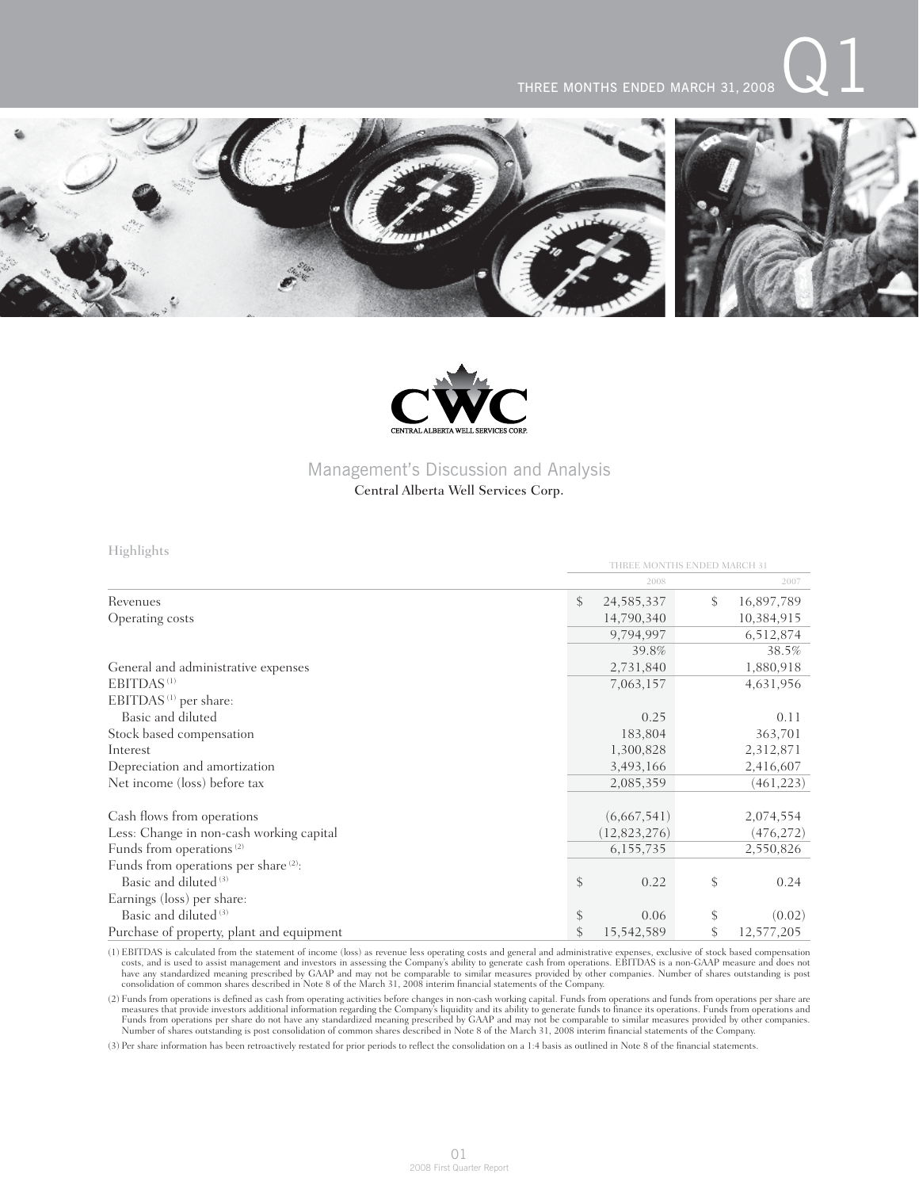### THREE MONTHS ENDED MARCH 31, 2008

THREE MONTHS ENDED MARCH 31





## Management's Discussion and Analysis

### Central Alberta Well Services Corp.

Highlights

|                                                  | 2008               | 2007             |
|--------------------------------------------------|--------------------|------------------|
| Revenues                                         | \$<br>24, 585, 337 | \$<br>16,897,789 |
| Operating costs                                  | 14,790,340         | 10,384,915       |
|                                                  | 9,794,997          | 6,512,874        |
|                                                  | 39.8%              | 38.5%            |
| General and administrative expenses              | 2,731,840          | 1,880,918        |
| EBITDAS <sup>(1)</sup>                           | 7,063,157          | 4,631,956        |
| EBITDAS <sup>(1)</sup> per share:                |                    |                  |
| Basic and diluted                                | 0.25               | 0.11             |
| Stock based compensation                         | 183,804            | 363,701          |
| Interest                                         | 1,300,828          | 2,312,871        |
| Depreciation and amortization                    | 3,493,166          | 2,416,607        |
| Net income (loss) before tax                     | 2,085,359          | (461, 223)       |
| Cash flows from operations                       | (6,667,541)        | 2,074,554        |
| Less: Change in non-cash working capital         | (12,823,276)       | (476, 272)       |
| Funds from operations <sup>(2)</sup>             | 6, 155, 735        | 2,550,826        |
| Funds from operations per share <sup>(2)</sup> : |                    |                  |
| Basic and diluted <sup>(3)</sup>                 | \$<br>0.22         | \$<br>0.24       |
| Earnings (loss) per share:                       |                    |                  |
| Basic and diluted <sup>(3)</sup>                 | \$<br>0.06         | (0.02)           |
| Purchase of property, plant and equipment        | \$<br>15,542,589   | \$<br>12,577,205 |

(1) EBITDAS is calculated from the statement of income (loss) as revenue less operating costs and general and administrative expenses, exclusive of stock based compensation costs, and is used to assist management and inves

(2) Funds from operations is defined as cash from operating activities before changes in non-cash working capital. Funds from operations and funds from operations per share are measures that provide investors additional in

(3) Per share information has been retroactively restated for prior periods to reflect the consolidation on a 1:4 basis as outlined in Note 8 of the financial statements.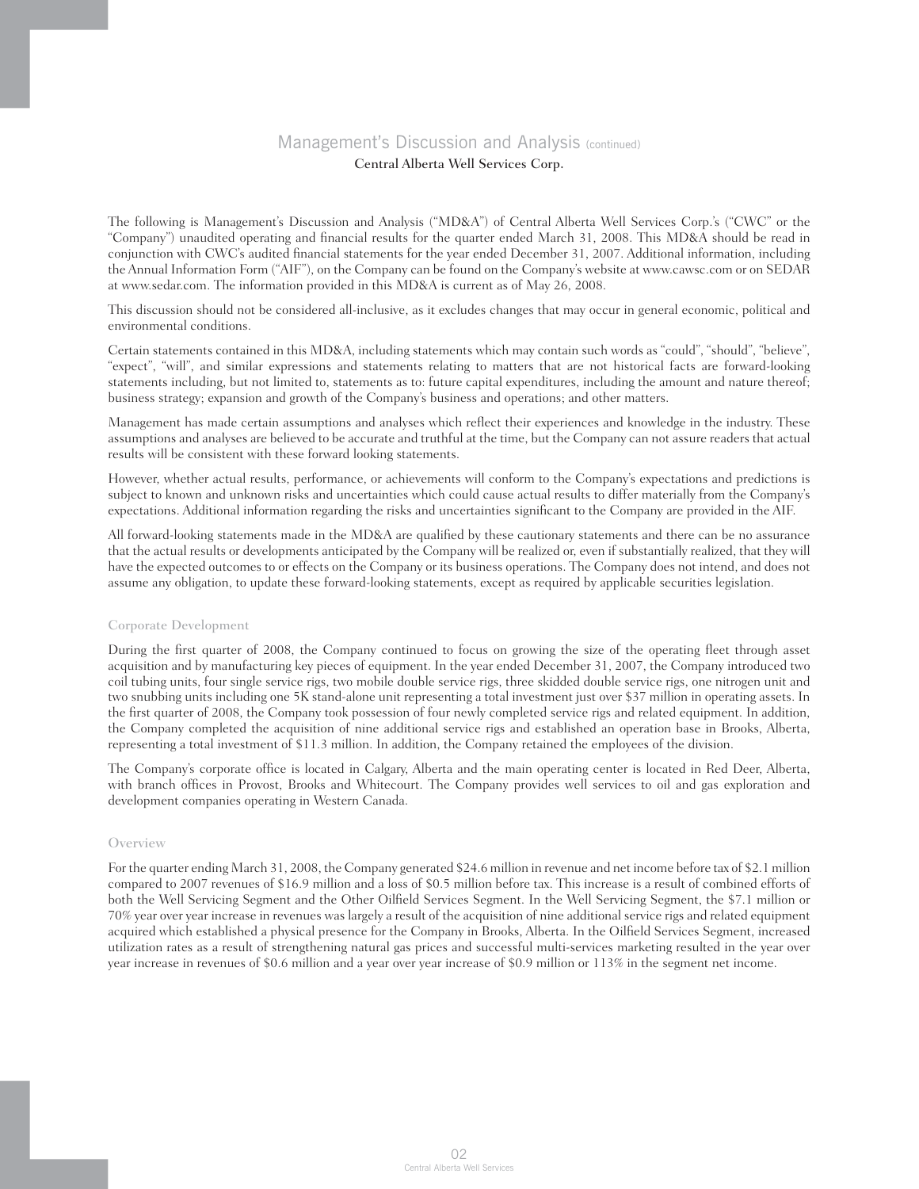The following is Management's Discussion and Analysis ("MD&A") of Central Alberta Well Services Corp.'s ("CWC" or the "Company") unaudited operating and financial results for the quarter ended March 31, 2008. This MD&A should be read in conjunction with CWC's audited financial statements for the year ended December 31, 2007. Additional information, including the Annual Information Form ("AIF"), on the Company can be found on the Company's website at www.cawsc.com or on SEDAR at www.sedar.com. The information provided in this MD&A is current as of May 26, 2008.

This discussion should not be considered all-inclusive, as it excludes changes that may occur in general economic, political and environmental conditions.

Certain statements contained in this MD&A, including statements which may contain such words as "could", "should", "believe", "expect", "will", and similar expressions and statements relating to matters that are not historical facts are forward-looking statements including, but not limited to, statements as to: future capital expenditures, including the amount and nature thereof; business strategy; expansion and growth of the Company's business and operations; and other matters.

Management has made certain assumptions and analyses which reflect their experiences and knowledge in the industry. These assumptions and analyses are believed to be accurate and truthful at the time, but the Company can not assure readers that actual results will be consistent with these forward looking statements.

However, whether actual results, performance, or achievements will conform to the Company's expectations and predictions is subject to known and unknown risks and uncertainties which could cause actual results to differ materially from the Company's expectations. Additional information regarding the risks and uncertainties significant to the Company are provided in the AIF.

All forward-looking statements made in the MD&A are qualified by these cautionary statements and there can be no assurance that the actual results or developments anticipated by the Company will be realized or, even if substantially realized, that they will have the expected outcomes to or effects on the Company or its business operations. The Company does not intend, and does not assume any obligation, to update these forward-looking statements, except as required by applicable securities legislation.

### Corporate Development

During the first quarter of 2008, the Company continued to focus on growing the size of the operating fleet through asset acquisition and by manufacturing key pieces of equipment. In the year ended December 31, 2007, the Company introduced two coil tubing units, four single service rigs, two mobile double service rigs, three skidded double service rigs, one nitrogen unit and two snubbing units including one 5K stand-alone unit representing a total investment just over \$37 million in operating assets. In the first quarter of 2008, the Company took possession of four newly completed service rigs and related equipment. In addition, the Company completed the acquisition of nine additional service rigs and established an operation base in Brooks, Alberta, representing a total investment of \$11.3 million. In addition, the Company retained the employees of the division.

The Company's corporate office is located in Calgary, Alberta and the main operating center is located in Red Deer, Alberta, with branch offices in Provost, Brooks and Whitecourt. The Company provides well services to oil and gas exploration and development companies operating in Western Canada.

### **Overview**

For the quarter ending March 31, 2008, the Company generated \$24.6 million in revenue and net income before tax of \$2.1 million compared to 2007 revenues of \$16.9 million and a loss of \$0.5 million before tax. This increase is a result of combined efforts of both the Well Servicing Segment and the Other Oilfield Services Segment. In the Well Servicing Segment, the \$7.1 million or 70% year over year increase in revenues was largely a result of the acquisition of nine additional service rigs and related equipment acquired which established a physical presence for the Company in Brooks, Alberta. In the Oilfield Services Segment, increased utilization rates as a result of strengthening natural gas prices and successful multi-services marketing resulted in the year over year increase in revenues of \$0.6 million and a year over year increase of \$0.9 million or 113% in the segment net income.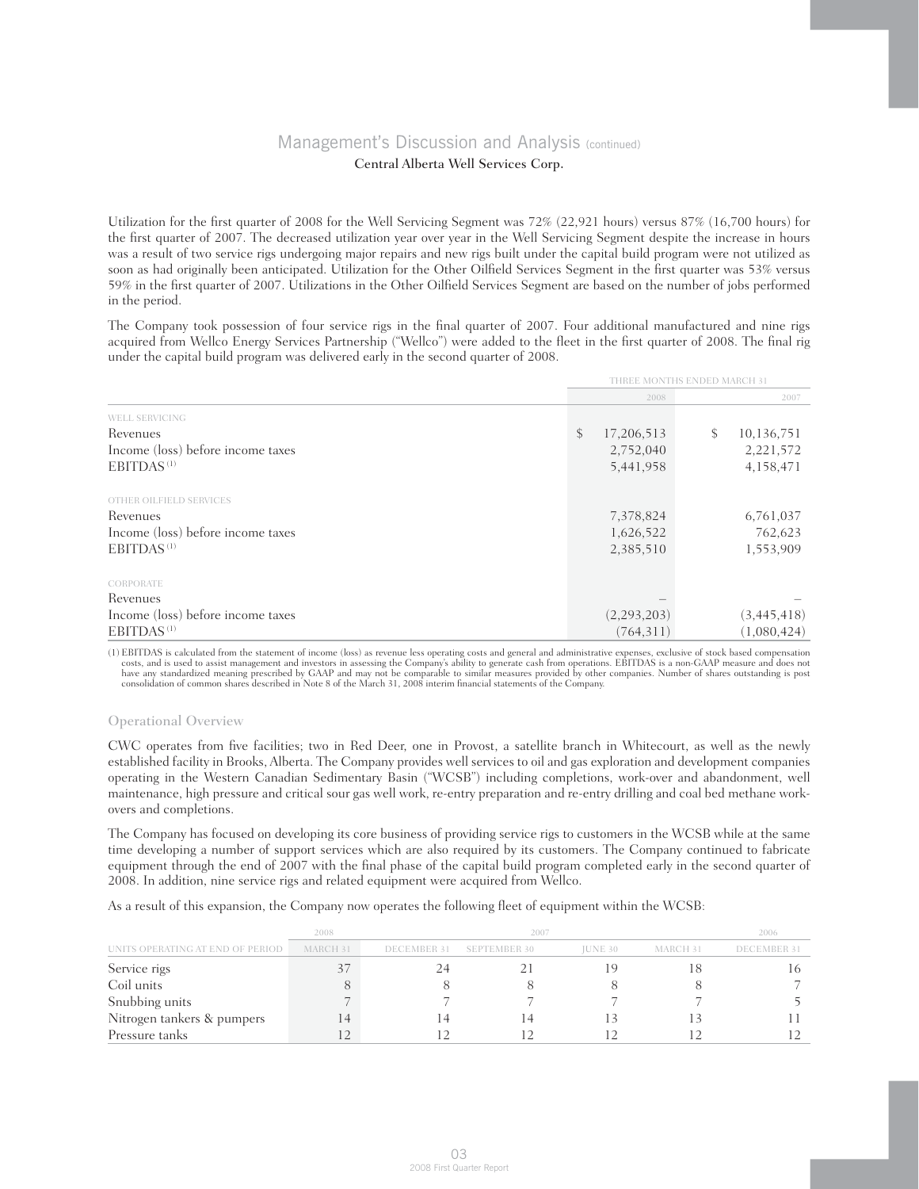Utilization for the first quarter of 2008 for the Well Servicing Segment was 72% (22,921 hours) versus 87% (16,700 hours) for the first quarter of 2007. The decreased utilization year over year in the Well Servicing Segment despite the increase in hours was a result of two service rigs undergoing major repairs and new rigs built under the capital build program were not utilized as soon as had originally been anticipated. Utilization for the Other Oilfield Services Segment in the first quarter was 53% versus 59% in the first quarter of 2007. Utilizations in the Other Oilfield Services Segment are based on the number of jobs performed in the period.

The Company took possession of four service rigs in the final quarter of 2007. Four additional manufactured and nine rigs acquired from Wellco Energy Services Partnership ("Wellco") were added to the fleet in the first quarter of 2008. The final rig under the capital build program was delivered early in the second quarter of 2008.

|                                   | THREE MONTHS ENDED MARCH 31 |                  |  |  |
|-----------------------------------|-----------------------------|------------------|--|--|
|                                   | 2008                        | 2007             |  |  |
| <b>WELL SERVICING</b>             |                             |                  |  |  |
| Revenues                          | \$<br>17,206,513            | \$<br>10,136,751 |  |  |
| Income (loss) before income taxes | 2,752,040                   | 2,221,572        |  |  |
| EBITDAS <sup>(1)</sup>            | 5,441,958                   | 4,158,471        |  |  |
| OTHER OILFIELD SERVICES           |                             |                  |  |  |
| Revenues                          | 7,378,824                   | 6,761,037        |  |  |
| Income (loss) before income taxes | 1,626,522                   | 762,623          |  |  |
| EBITDAS <sup>(1)</sup>            | 2,385,510                   | 1,553,909        |  |  |
| CORPORATE                         |                             |                  |  |  |
| Revenues                          |                             |                  |  |  |
| Income (loss) before income taxes | (2,293,203)                 | (3,445,418)      |  |  |
| EBITDAS <sup>(1)</sup>            | (764, 311)                  | (1,080,424)      |  |  |

(1) EBITDAS is calculated from the statement of income (loss) as revenue less operating costs and general and administrative expenses, exclusive of stock based compensation costs, and is used to assist management and inves

### Operational Overview

CWC operates from five facilities; two in Red Deer, one in Provost, a satellite branch in Whitecourt, as well as the newly established facility in Brooks, Alberta. The Company provides well services to oil and gas exploration and development companies operating in the Western Canadian Sedimentary Basin ("WCSB") including completions, work-over and abandonment, well maintenance, high pressure and critical sour gas well work, re-entry preparation and re-entry drilling and coal bed methane workovers and completions.

The Company has focused on developing its core business of providing service rigs to customers in the WCSB while at the same time developing a number of support services which are also required by its customers. The Company continued to fabricate equipment through the end of 2007 with the final phase of the capital build program completed early in the second quarter of 2008. In addition, nine service rigs and related equipment were acquired from Wellco.

As a result of this expansion, the Company now operates the following fleet of equipment within the WCSB:

|                                  | 2008     | 2006        |                     |                |          |                    |
|----------------------------------|----------|-------------|---------------------|----------------|----------|--------------------|
| UNITS OPERATING AT END OF PERIOD | MARCH 31 | DECEMBER 31 | <b>SEPTEMBER 30</b> | <b>IUNE 30</b> | MARCH 31 | <b>DECEMBER 31</b> |
| Service rigs                     |          |             |                     |                |          |                    |
| Coil units                       |          |             |                     |                |          |                    |
| Snubbing units                   |          |             |                     |                |          |                    |
| Nitrogen tankers & pumpers       |          |             |                     |                |          |                    |
| Pressure tanks                   |          |             |                     |                |          |                    |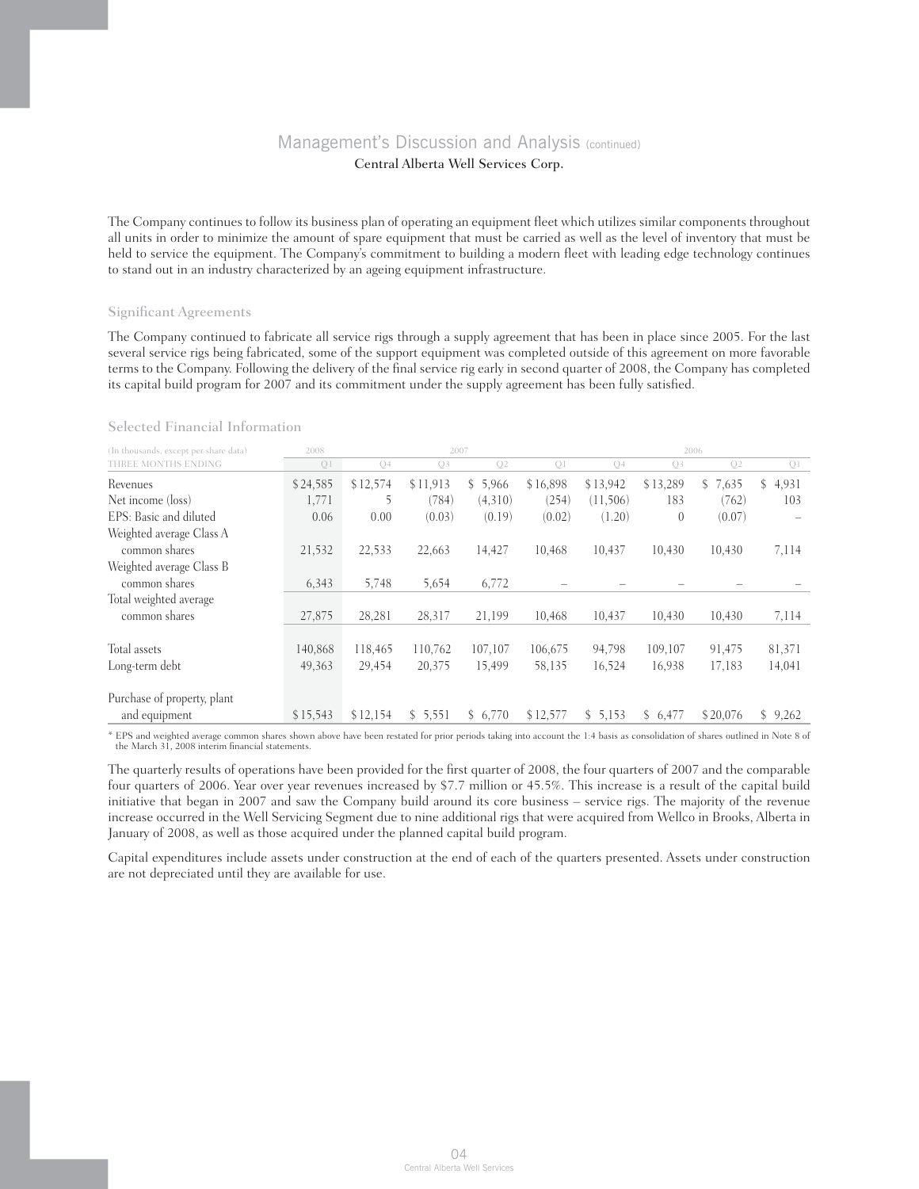The Company continues to follow its business plan of operating an equipment fleet which utilizes similar components throughout all units in order to minimize the amount of spare equipment that must be carried as well as the level of inventory that must be held to service the equipment. The Company's commitment to building a modern fleet with leading edge technology continues to stand out in an industry characterized by an ageing equipment infrastructure.

### Significant Agreements

The Company continued to fabricate all service rigs through a supply agreement that has been in place since 2005. For the last several service rigs being fabricated, some of the support equipment was completed outside of this agreement on more favorable terms to the Company. Following the delivery of the final service rig early in second quarter of 2008, the Company has completed its capital build program for 2007 and its commitment under the supply agreement has been fully satisfied.

#### Selected Financial Information

| (In thousands, except per share data) | 2008     |                | 2007           |                |          |                |          | 2006     |             |
|---------------------------------------|----------|----------------|----------------|----------------|----------|----------------|----------|----------|-------------|
| THREE MONTHS ENDING                   | Q1       | Q <sub>4</sub> | Q <sub>3</sub> | Q <sub>2</sub> | Q1       | Q <sub>4</sub> | Q3       | Q2       | Q1          |
| Revenues                              | \$24,585 | \$12,574       | \$11,913       | \$5,966        | \$16,898 | \$13,942       | \$13,289 | \$7,635  | 4,931<br>S. |
| Net income (loss)                     | 1,771    | 5              | (784)          | (4,310)        | (254)    | (11,506)       | 183      | (762)    | 103         |
| EPS: Basic and diluted                | 0.06     | 0.00           | (0.03)         | (0.19)         | (0.02)   | (1.20)         | $\theta$ | (0.07)   |             |
| Weighted average Class A              |          |                |                |                |          |                |          |          |             |
| common shares                         | 21,532   | 22,533         | 22,663         | 14,427         | 10,468   | 10,437         | 10,430   | 10,430   | 7,114       |
| Weighted average Class B              |          |                |                |                |          |                |          |          |             |
| common shares                         | 6,343    | 5,748          | 5,654          | 6,772          |          |                |          |          |             |
| Total weighted average                |          |                |                |                |          |                |          |          |             |
| common shares                         | 27,875   | 28,281         | 28,317         | 21,199         | 10,468   | 10,437         | 10,430   | 10,430   | 7,114       |
|                                       |          |                |                |                |          |                |          |          |             |
| Total assets                          | 140.868  | 118,465        | 110.762        | 107,107        | 106.675  | 94,798         | 109.107  | 91,475   | 81,371      |
| Long-term debt                        | 49,363   | 29,454         | 20,375         | 15,499         | 58,135   | 16,524         | 16,938   | 17,183   | 14,041      |
| Purchase of property, plant           |          |                |                |                |          |                |          |          |             |
| and equipment                         | \$15,543 | \$12,154       | \$5,551        | \$6,770        | \$12,577 | \$5,153        | \$6,477  | \$20,076 | \$9,262     |

\* EPS and weighted average common shares shown above have been restated for prior periods taking into account the 1:4 basis as consolidation of shares outlined in Note 8 of the March 31, 2008 interim financial statements.

The quarterly results of operations have been provided for the first quarter of 2008, the four quarters of 2007 and the comparable four quarters of 2006. Year over year revenues increased by \$7.7 million or 45.5%. This increase is a result of the capital build initiative that began in 2007 and saw the Company build around its core business – service rigs. The majority of the revenue increase occurred in the Well Servicing Segment due to nine additional rigs that were acquired from Wellco in Brooks, Alberta in January of 2008, as well as those acquired under the planned capital build program.

Capital expenditures include assets under construction at the end of each of the quarters presented. Assets under construction are not depreciated until they are available for use.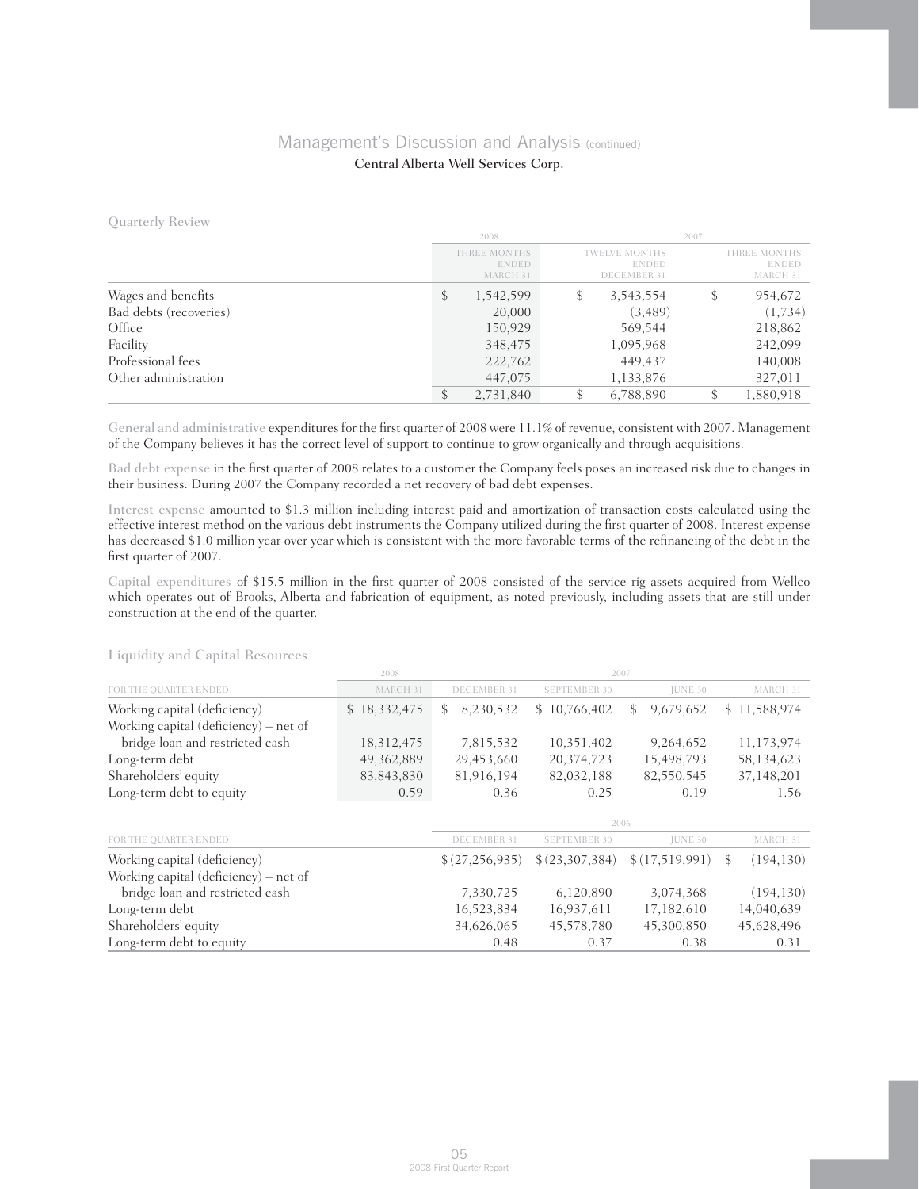Quarterly Review

|                        |    | 2008                                     |    |                                                            |   | 2007                                     |  |  |
|------------------------|----|------------------------------------------|----|------------------------------------------------------------|---|------------------------------------------|--|--|
|                        |    | THREE MONTHS<br><b>ENDED</b><br>MARCH 31 |    | <b>TWELVE MONTHS</b><br><b>ENDED</b><br><b>DECEMBER 31</b> |   | THREE MONTHS<br><b>ENDED</b><br>MARCH 31 |  |  |
| Wages and benefits     | \$ | 1,542,599                                | \$ | 3,543,554                                                  | S | 954,672                                  |  |  |
| Bad debts (recoveries) |    | 20,000                                   |    | (3, 489)                                                   |   | (1,734)                                  |  |  |
| Office                 |    | 150,929                                  |    | 569,544                                                    |   | 218,862                                  |  |  |
| Facility               |    | 348,475                                  |    | 1,095,968                                                  |   | 242,099                                  |  |  |
| Professional fees      |    | 222,762                                  |    | 449,437                                                    |   | 140,008                                  |  |  |
| Other administration   |    | 447,075                                  |    | 1,133,876                                                  |   | 327,011                                  |  |  |
|                        |    | 2,731,840                                |    | 6,788,890                                                  |   | 1,880,918                                |  |  |

General and administrative expenditures for the first quarter of 2008 were 11.1% of revenue, consistent with 2007. Management of the Company believes it has the correct level of support to continue to grow organically and through acquisitions.

Bad debt expense in the first quarter of 2008 relates to a customer the Company feels poses an increased risk due to changes in their business. During 2007 the Company recorded a net recovery of bad debt expenses.

Interest expense amounted to \$1.3 million including interest paid and amortization of transaction costs calculated using the effective interest method on the various debt instruments the Company utilized during the first quarter of 2008. Interest expense has decreased \$1.0 million year over year which is consistent with the more favorable terms of the refinancing of the debt in the first quarter of 2007.

Capital expenditures of \$15.5 million in the first quarter of 2008 consisted of the service rig assets acquired from Wellco which operates out of Brooks, Alberta and fabrication of equipment, as noted previously, including assets that are still under construction at the end of the quarter.

| Liquidity and Capital Resources       |              |             |              |              |              |  |
|---------------------------------------|--------------|-------------|--------------|--------------|--------------|--|
|                                       | 2008         |             |              | 2007         |              |  |
| FOR THE QUARTER ENDED                 | MARCH 31     | DECEMBER 31 | SEPTEMBER 30 | IUNE 30      | MARCH 31     |  |
| Working capital (deficiency)          | \$18,332,475 | \$8,230,532 | \$10,766,402 | \$ 9,679,652 | \$11,588,974 |  |
| Working capital (deficiency) – net of |              |             |              |              |              |  |
| bridge loan and restricted cash       | 18,312,475   | 7,815,532   | 10,351,402   | 9.264.652    | 11,173,974   |  |
| Long-term debt                        | 49, 362, 889 | 29,453,660  | 20,374,723   | 15,498,793   | 58,134,623   |  |
| Shareholders' equity                  | 83,843,830   | 81,916,194  | 82,032,188   | 82,550,545   | 37,148,201   |  |

Liquidity and Capital Resources

|                                       | 2006        |                     |                                                     |            |  |  |  |
|---------------------------------------|-------------|---------------------|-----------------------------------------------------|------------|--|--|--|
| FOR THE QUARTER ENDED                 | DECEMBER 31 | <b>SEPTEMBER 30</b> | <b>JUNE 30</b>                                      | MARCH 31   |  |  |  |
| Working capital (deficiency)          |             |                     | $$(27,256,935) \ $(23,307,384) \ $(17,519,991) \ $$ | (194, 130) |  |  |  |
| Working capital (deficiency) – net of |             |                     |                                                     |            |  |  |  |
| bridge loan and restricted cash       | 7,330,725   | 6,120,890           | 3,074,368                                           | (194, 130) |  |  |  |
| Long-term debt                        | 16,523,834  | 16,937,611          | 17,182,610                                          | 14,040,639 |  |  |  |
| Shareholders' equity                  | 34,626,065  | 45,578,780          | 45,300,850                                          | 45,628,496 |  |  |  |
| Long-term debt to equity              | 0.48        | 0.37                | 0.38                                                | 0.31       |  |  |  |

Long-term debt to equity 0.59 0.36 0.25 0.19 1.56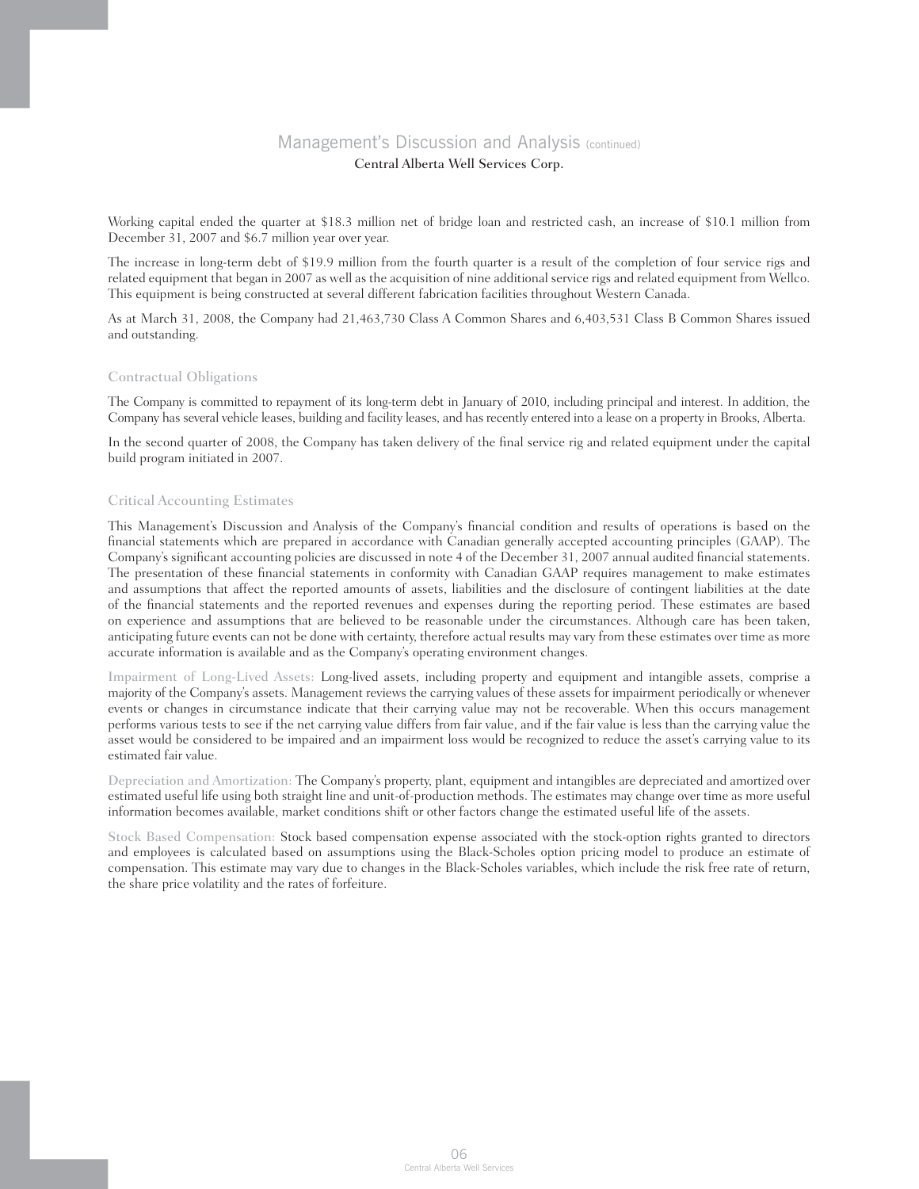Working capital ended the quarter at \$18.3 million net of bridge loan and restricted cash, an increase of \$10.1 million from December 31, 2007 and \$6.7 million year over year.

The increase in long-term debt of \$19.9 million from the fourth quarter is a result of the completion of four service rigs and related equipment that began in 2007 as well as the acquisition of nine additional service rigs and related equipment from Wellco. This equipment is being constructed at several different fabrication facilities throughout Western Canada.

As at March 31, 2008, the Company had 21,463,730 Class A Common Shares and 6,403,531 Class B Common Shares issued and outstanding.

### Contractual Obligations

The Company is committed to repayment of its long-term debt in January of 2010, including principal and interest. In addition, the Company has several vehicle leases, building and facility leases, and has recently entered into a lease on a property in Brooks, Alberta.

In the second quarter of 2008, the Company has taken delivery of the final service rig and related equipment under the capital build program initiated in 2007.

### Critical Accounting Estimates

This Management's Discussion and Analysis of the Company's financial condition and results of operations is based on the financial statements which are prepared in accordance with Canadian generally accepted accounting principles (GAAP). The Company's significant accounting policies are discussed in note 4 of the December 31, 2007 annual audited financial statements. The presentation of these financial statements in conformity with Canadian GAAP requires management to make estimates and assumptions that affect the reported amounts of assets, liabilities and the disclosure of contingent liabilities at the date of the financial statements and the reported revenues and expenses during the reporting period. These estimates are based on experience and assumptions that are believed to be reasonable under the circumstances. Although care has been taken, anticipating future events can not be done with certainty, therefore actual results may vary from these estimates over time as more accurate information is available and as the Company's operating environment changes.

Impairment of Long-Lived Assets: Long-lived assets, including property and equipment and intangible assets, comprise a majority of the Company's assets. Management reviews the carrying values of these assets for impairment periodically or whenever events or changes in circumstance indicate that their carrying value may not be recoverable. When this occurs management performs various tests to see if the net carrying value differs from fair value, and if the fair value is less than the carrying value the asset would be considered to be impaired and an impairment loss would be recognized to reduce the asset's carrying value to its estimated fair value.

Depreciation and Amortization: The Company's property, plant, equipment and intangibles are depreciated and amortized over estimated useful life using both straight line and unit-of-production methods. The estimates may change over time as more useful information becomes available, market conditions shift or other factors change the estimated useful life of the assets.

Stock Based Compensation: Stock based compensation expense associated with the stock-option rights granted to directors and employees is calculated based on assumptions using the Black-Scholes option pricing model to produce an estimate of compensation. This estimate may vary due to changes in the Black-Scholes variables, which include the risk free rate of return, the share price volatility and the rates of forfeiture.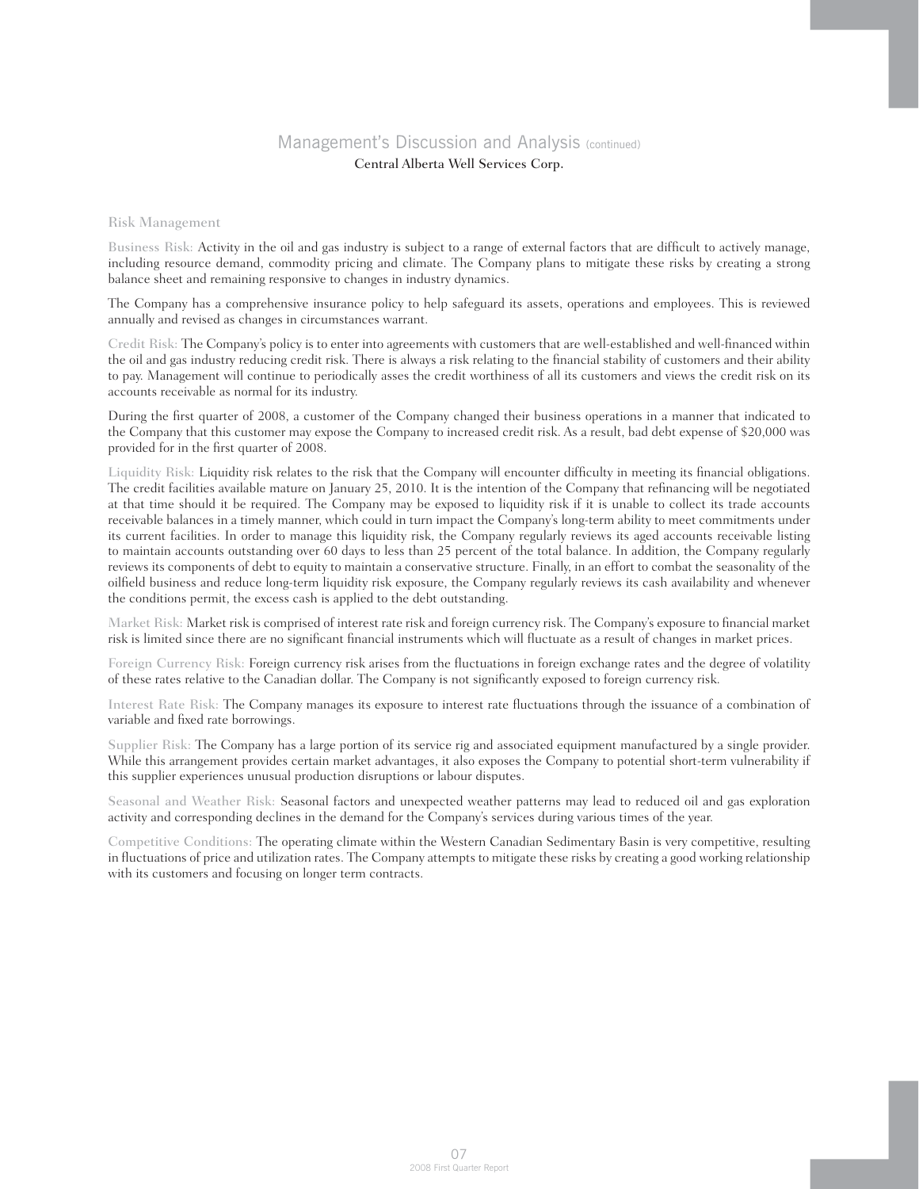#### Risk Management

Business Risk: Activity in the oil and gas industry is subject to a range of external factors that are difficult to actively manage, including resource demand, commodity pricing and climate. The Company plans to mitigate these risks by creating a strong balance sheet and remaining responsive to changes in industry dynamics.

The Company has a comprehensive insurance policy to help safeguard its assets, operations and employees. This is reviewed annually and revised as changes in circumstances warrant.

Credit Risk: The Company's policy is to enter into agreements with customers that are well-established and well-financed within the oil and gas industry reducing credit risk. There is always a risk relating to the financial stability of customers and their ability to pay. Management will continue to periodically asses the credit worthiness of all its customers and views the credit risk on its accounts receivable as normal for its industry.

During the first quarter of 2008, a customer of the Company changed their business operations in a manner that indicated to the Company that this customer may expose the Company to increased credit risk. As a result, bad debt expense of \$20,000 was provided for in the first quarter of 2008.

Liquidity Risk: Liquidity risk relates to the risk that the Company will encounter difficulty in meeting its financial obligations. The credit facilities available mature on January 25, 2010. It is the intention of the Company that refinancing will be negotiated at that time should it be required. The Company may be exposed to liquidity risk if it is unable to collect its trade accounts receivable balances in a timely manner, which could in turn impact the Company's long-term ability to meet commitments under its current facilities. In order to manage this liquidity risk, the Company regularly reviews its aged accounts receivable listing to maintain accounts outstanding over 60 days to less than 25 percent of the total balance. In addition, the Company regularly reviews its components of debt to equity to maintain a conservative structure. Finally, in an effort to combat the seasonality of the oilfield business and reduce long-term liquidity risk exposure, the Company regularly reviews its cash availability and whenever the conditions permit, the excess cash is applied to the debt outstanding.

Market Risk: Market risk is comprised of interest rate risk and foreign currency risk. The Company's exposure to financial market risk is limited since there are no significant financial instruments which will fluctuate as a result of changes in market prices.

Foreign Currency Risk: Foreign currency risk arises from the fluctuations in foreign exchange rates and the degree of volatility of these rates relative to the Canadian dollar. The Company is not significantly exposed to foreign currency risk.

Interest Rate Risk: The Company manages its exposure to interest rate fluctuations through the issuance of a combination of variable and fixed rate borrowings.

Supplier Risk: The Company has a large portion of its service rig and associated equipment manufactured by a single provider. While this arrangement provides certain market advantages, it also exposes the Company to potential short-term vulnerability if this supplier experiences unusual production disruptions or labour disputes.

Seasonal and Weather Risk: Seasonal factors and unexpected weather patterns may lead to reduced oil and gas exploration activity and corresponding declines in the demand for the Company's services during various times of the year.

Competitive Conditions: The operating climate within the Western Canadian Sedimentary Basin is very competitive, resulting in fluctuations of price and utilization rates. The Company attempts to mitigate these risks by creating a good working relationship with its customers and focusing on longer term contracts.